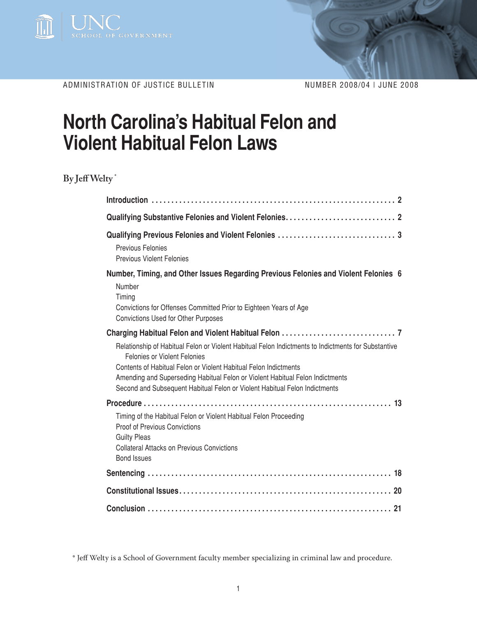

ADMINISTRATION OF JUSTICE BULLETIN NUMBER 2008/04 | JUNE 2008

# **North Carolina's Habitual Felon and Violent Habitual Felon Laws**

**By Jeff Welty \***

| Previous Felonies<br><b>Previous Violent Felonies</b>                                                                                                                                                                                                                                                                                                                  |  |
|------------------------------------------------------------------------------------------------------------------------------------------------------------------------------------------------------------------------------------------------------------------------------------------------------------------------------------------------------------------------|--|
| Number, Timing, and Other Issues Regarding Previous Felonies and Violent Felonies 6<br>Number<br>Timing<br>Convictions for Offenses Committed Prior to Eighteen Years of Age<br>Convictions Used for Other Purposes                                                                                                                                                    |  |
| Relationship of Habitual Felon or Violent Habitual Felon Indictments to Indictments for Substantive<br>Felonies or Violent Felonies<br>Contents of Habitual Felon or Violent Habitual Felon Indictments<br>Amending and Superseding Habitual Felon or Violent Habitual Felon Indictments<br>Second and Subsequent Habitual Felon or Violent Habitual Felon Indictments |  |
| Timing of the Habitual Felon or Violent Habitual Felon Proceeding<br>Proof of Previous Convictions<br><b>Guilty Pleas</b><br><b>Collateral Attacks on Previous Convictions</b><br><b>Bond Issues</b>                                                                                                                                                                   |  |
|                                                                                                                                                                                                                                                                                                                                                                        |  |
|                                                                                                                                                                                                                                                                                                                                                                        |  |
|                                                                                                                                                                                                                                                                                                                                                                        |  |

\* Jeff Welty is a School of Government faculty member specializing in criminal law and procedure.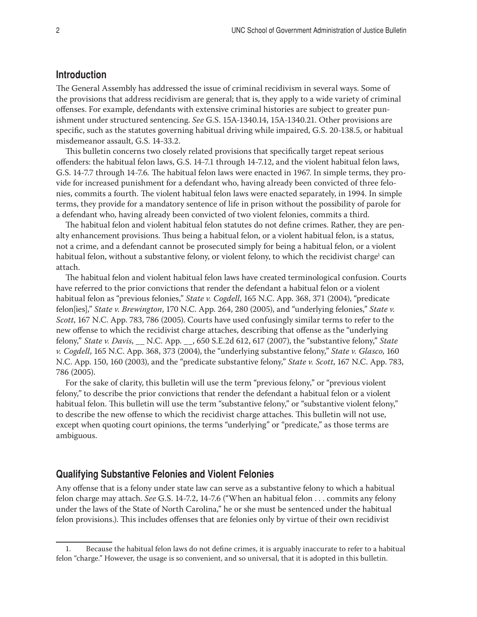# **Introduction**

The General Assembly has addressed the issue of criminal recidivism in several ways. Some of the provisions that address recidivism are general; that is, they apply to a wide variety of criminal offenses. For example, defendants with extensive criminal histories are subject to greater punishment under structured sentencing. *See* G.S. 15A-1340.14, 15A-1340.21. Other provisions are specific, such as the statutes governing habitual driving while impaired, G.S. 20-138.5, or habitual misdemeanor assault, G.S. 14-33.2.

This bulletin concerns two closely related provisions that specifically target repeat serious offenders: the habitual felon laws, G.S. 14-7.1 through 14-7.12, and the violent habitual felon laws, G.S. 14-7.7 through 14-7.6*.* The habitual felon laws were enacted in 1967. In simple terms, they provide for increased punishment for a defendant who, having already been convicted of three felonies, commits a fourth. The violent habitual felon laws were enacted separately, in 1994. In simple terms, they provide for a mandatory sentence of life in prison without the possibility of parole for a defendant who, having already been convicted of two violent felonies, commits a third.

The habitual felon and violent habitual felon statutes do not define crimes. Rather, they are penalty enhancement provisions. Thus being a habitual felon, or a violent habitual felon, is a status, not a crime, and a defendant cannot be prosecuted simply for being a habitual felon, or a violent habitual felon, without a substantive felony, or violent felony, to which the recidivist charge<sup>1</sup> can attach.

The habitual felon and violent habitual felon laws have created terminological confusion. Courts have referred to the prior convictions that render the defendant a habitual felon or a violent habitual felon as "previous felonies," *State v. Cogdell*, 165 N.C. App. 368, 371 (2004), "predicate felon[ies]," *State v. Brewington*, 170 N.C. App. 264, 280 (2005), and "underlying felonies," *State v. Scott*, 167 N.C. App. 783, 786 (2005). Courts have used confusingly similar terms to refer to the new offense to which the recidivist charge attaches, describing that offense as the "underlying felony," *State v. Davis*, \_\_ N.C. App. \_\_, 650 S.E.2d 612, 617 (2007), the "substantive felony," *State v. Cogdell*, 165 N.C. App. 368, 373 (2004), the "underlying substantive felony," *State v. Glasco*, 160 N.C. App. 150, 160 (2003), and the "predicate substantive felony," *State v. Scott*, 167 N.C. App. 783, 786 (2005).

For the sake of clarity, this bulletin will use the term "previous felony," or "previous violent felony," to describe the prior convictions that render the defendant a habitual felon or a violent habitual felon. This bulletin will use the term "substantive felony," or "substantive violent felony," to describe the new offense to which the recidivist charge attaches. This bulletin will not use, except when quoting court opinions, the terms "underlying" or "predicate," as those terms are ambiguous.

## **Qualifying Substantive Felonies and Violent Felonies**

Any offense that is a felony under state law can serve as a substantive felony to which a habitual felon charge may attach. *See* G.S. 14-7.2, 14-7.6 ("When an habitual felon . . . commits any felony under the laws of the State of North Carolina," he or she must be sentenced under the habitual felon provisions.). This includes offenses that are felonies only by virtue of their own recidivist

<sup>1.</sup> Because the habitual felon laws do not define crimes, it is arguably inaccurate to refer to a habitual felon "charge." However, the usage is so convenient, and so universal, that it is adopted in this bulletin.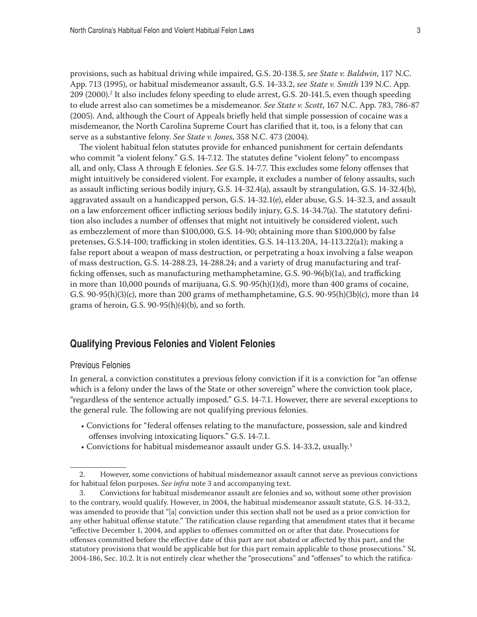provisions, such as habitual driving while impaired, G.S. 20-138.5, *see State v. Baldwin*, 117 N.C. App. 713 (1995), or habitual misdemeanor assault, G.S. 14-33.2, *see State v. Smith* 139 N.C. App. 209 (2000).2 It also includes felony speeding to elude arrest, G.S. 20-141.5, even though speeding to elude arrest also can sometimes be a misdemeanor. *See State v. Scott*, 167 N.C. App. 783, 786-87 (2005). And, although the Court of Appeals briefly held that simple possession of cocaine was a misdemeanor, the North Carolina Supreme Court has clarified that it, too, is a felony that can serve as a substantive felony. *See State v. Jones*, 358 N.C. 473 (2004).

The violent habitual felon statutes provide for enhanced punishment for certain defendants who commit "a violent felony." G.S. 14-7.12. The statutes define "violent felony" to encompass all, and only, Class A through E felonies. *See* G.S. 14-7.7. This excludes some felony offenses that might intuitively be considered violent. For example, it excludes a number of felony assaults, such as assault inflicting serious bodily injury, G.S. 14-32.4(a), assault by strangulation, G.S. 14-32.4(b), aggravated assault on a handicapped person, G.S. 14-32.1(e), elder abuse, G.S. 14-32.3, and assault on a law enforcement officer inflicting serious bodily injury, G.S. 14-34.7(a). The statutory definition also includes a number of offenses that might not intuitively be considered violent, such as embezzlement of more than \$100,000, G.S. 14-90; obtaining more than \$100,000 by false pretenses, G.S.14-100; trafficking in stolen identities, G.S. 14-113.20A, 14-113.22(a1); making a false report about a weapon of mass destruction, or perpetrating a hoax involving a false weapon of mass destruction, G.S. 14-288.23, 14-288.24; and a variety of drug manufacturing and trafficking offenses, such as manufacturing methamphetamine, G.S. 90-96(b)(1a), and trafficking in more than 10,000 pounds of marijuana, G.S. 90-95(h)(1)(d), more than 400 grams of cocaine, G.S. 90-95(h)(3)(c), more than 200 grams of methamphetamine, G.S. 90-95(h)(3b)(c), more than 14 grams of heroin, G.S. 90-95(h)(4)(b), and so forth.

# **Qualifying Previous Felonies and Violent Felonies**

#### Previous Felonies

In general, a conviction constitutes a previous felony conviction if it is a conviction for "an offense which is a felony under the laws of the State or other sovereign" where the conviction took place, "regardless of the sentence actually imposed." G.S. 14-7.1. However, there are several exceptions to the general rule. The following are not qualifying previous felonies.

- Convictions for "federal offenses relating to the manufacture, possession, sale and kindred offenses involving intoxicating liquors." G.S. 14-7.1.
- Convictions for habitual misdemeanor assault under G.S. 14-33.2, usually.<sup>3</sup>

<sup>2.</sup> However, some convictions of habitual misdemeanor assault cannot serve as previous convictions for habitual felon purposes. *See infra* note 3 and accompanying text.

<sup>3.</sup> Convictions for habitual misdemeanor assault are felonies and so, without some other provision to the contrary, would qualify. However, in 2004, the habitual misdemeanor assault statute, G.S. 14-33.2, was amended to provide that "[a] conviction under this section shall not be used as a prior conviction for any other habitual offense statute." The ratification clause regarding that amendment states that it became "effective December 1, 2004, and applies to offenses committed on or after that date. Prosecutions for offenses committed before the effective date of this part are not abated or affected by this part, and the statutory provisions that would be applicable but for this part remain applicable to those prosecutions." SL 2004-186, Sec. 10.2. It is not entirely clear whether the "prosecutions" and "offenses" to which the ratifica-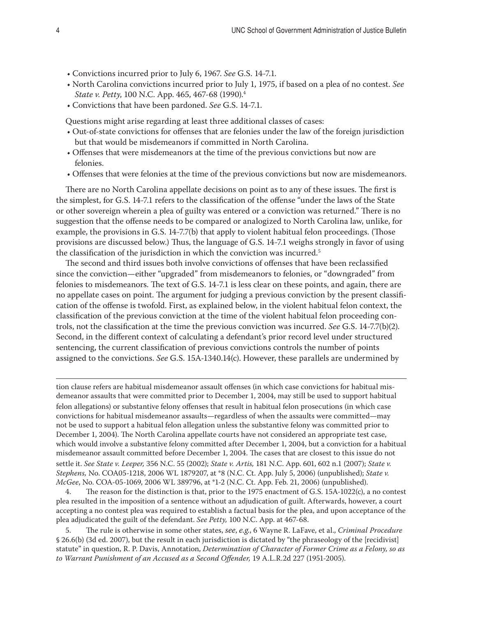- Convictions incurred prior to July 6, 1967. *See* G.S. 14-7.1*.*
- North Carolina convictions incurred prior to July 1, 1975, if based on a plea of no contest. *See State v. Petty*, 100 N.C. App. 465, 467-68 (1990).4
- Convictions that have been pardoned. *See* G.S. 14-7.1.

Questions might arise regarding at least three additional classes of cases:

- Out-of-state convictions for offenses that are felonies under the law of the foreign jurisdiction but that would be misdemeanors if committed in North Carolina.
- Offenses that were misdemeanors at the time of the previous convictions but now are felonies.
- Offenses that were felonies at the time of the previous convictions but now are misdemeanors.

There are no North Carolina appellate decisions on point as to any of these issues. The first is the simplest, for G.S. 14-7.1 refers to the classification of the offense "under the laws of the State or other sovereign wherein a plea of guilty was entered or a conviction was returned." There is no suggestion that the offense needs to be compared or analogized to North Carolina law, unlike, for example, the provisions in G.S. 14-7.7(b) that apply to violent habitual felon proceedings. (Those provisions are discussed below.) Thus, the language of G.S. 14-7.1 weighs strongly in favor of using the classification of the jurisdiction in which the conviction was incurred.<sup>5</sup>

The second and third issues both involve convictions of offenses that have been reclassified since the conviction—either "upgraded" from misdemeanors to felonies, or "downgraded" from felonies to misdemeanors. The text of G.S. 14-7.1 is less clear on these points, and again, there are no appellate cases on point. The argument for judging a previous conviction by the present classification of the offense is twofold. First, as explained below, in the violent habitual felon context, the classification of the previous conviction at the time of the violent habitual felon proceeding controls, not the classification at the time the previous conviction was incurred. *See* G.S. 14-7.7(b)(2). Second, in the different context of calculating a defendant's prior record level under structured sentencing, the current classification of previous convictions controls the number of points assigned to the convictions. *See* G.S. 15A-1340.14(c). However, these parallels are undermined by

tion clause refers are habitual misdemeanor assault offenses (in which case convictions for habitual misdemeanor assaults that were committed prior to December 1, 2004, may still be used to support habitual felon allegations) or substantive felony offenses that result in habitual felon prosecutions (in which case convictions for habitual misdemeanor assaults—regardless of when the assaults were committed—may not be used to support a habitual felon allegation unless the substantive felony was committed prior to December 1, 2004). The North Carolina appellate courts have not considered an appropriate test case, which would involve a substantive felony committed after December 1, 2004, but a conviction for a habitual misdemeanor assault committed before December 1, 2004. The cases that are closest to this issue do not settle it. *See State v. Leeper,* 356 N.C. 55 (2002); *State v. Artis,* 181 N.C. App. 601, 602 n.1 (2007); *State v. Stephens,* No. COA05-1218, 2006 WL 1879207, at \*8 (N.C. Ct. App. July 5, 2006) (unpublished); *State v. McGee*, No. COA-05-1069, 2006 WL 389796, at \*1-2 (N.C. Ct. App. Feb. 21, 2006) (unpublished).

4. The reason for the distinction is that, prior to the 1975 enactment of G.S. 15A-1022(c), a no contest plea resulted in the imposition of a sentence without an adjudication of guilt. Afterwards, however, a court accepting a no contest plea was required to establish a factual basis for the plea, and upon acceptance of the plea adjudicated the guilt of the defendant. *See Petty,* 100 N.C. App. at 467-68.

5. The rule is otherwise in some other states, *see*, *e.g.*, 6 Wayne R. LaFave, et al., *Criminal Procedure* § 26.6(b) (3d ed. 2007), but the result in each jurisdiction is dictated by "the phraseology of the [recidivist] statute" in question, R. P. Davis, Annotation, *Determination of Character of Former Crime as a Felony, so as to Warrant Punishment of an Accused as a Second Offender,* 19 A.L.R.2d 227 (1951-2005).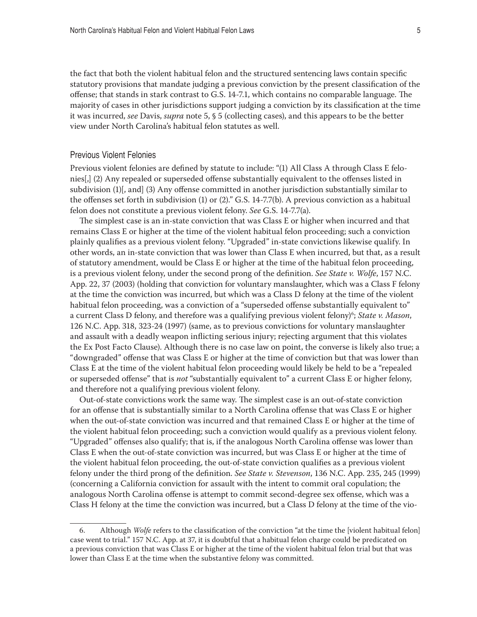the fact that both the violent habitual felon and the structured sentencing laws contain specific statutory provisions that mandate judging a previous conviction by the present classification of the offense; that stands in stark contrast to G.S. 14-7.1, which contains no comparable language. The majority of cases in other jurisdictions support judging a conviction by its classification at the time it was incurred, *see* Davis, *supra* note 5, § 5 (collecting cases), and this appears to be the better view under North Carolina's habitual felon statutes as well.

#### Previous Violent Felonies

Previous violent felonies are defined by statute to include: "(1) All Class A through Class E felonies[,] (2) Any repealed or superseded offense substantially equivalent to the offenses listed in subdivision (1)[, and] (3) Any offense committed in another jurisdiction substantially similar to the offenses set forth in subdivision (1) or (2)." G.S. 14-7.7(b). A previous conviction as a habitual felon does not constitute a previous violent felony. *See* G.S. 14-7.7(a).

The simplest case is an in-state conviction that was Class E or higher when incurred and that remains Class E or higher at the time of the violent habitual felon proceeding; such a conviction plainly qualifies as a previous violent felony. "Upgraded" in-state convictions likewise qualify. In other words, an in-state conviction that was lower than Class E when incurred, but that, as a result of statutory amendment, would be Class E or higher at the time of the habitual felon proceeding, is a previous violent felony, under the second prong of the definition. *See State v. Wolfe*, 157 N.C. App. 22, 37 (2003) (holding that conviction for voluntary manslaughter, which was a Class F felony at the time the conviction was incurred, but which was a Class D felony at the time of the violent habitual felon proceeding, was a conviction of a "superseded offense substantially equivalent to" a current Class D felony, and therefore was a qualifying previous violent felony)<sup>6</sup>; *State v. Mason*, 126 N.C. App. 318, 323-24 (1997) (same, as to previous convictions for voluntary manslaughter and assault with a deadly weapon inflicting serious injury; rejecting argument that this violates the Ex Post Facto Clause). Although there is no case law on point, the converse is likely also true; a "downgraded" offense that was Class E or higher at the time of conviction but that was lower than Class E at the time of the violent habitual felon proceeding would likely be held to be a "repealed or superseded offense" that is *not* "substantially equivalent to" a current Class E or higher felony, and therefore not a qualifying previous violent felony.

Out-of-state convictions work the same way. The simplest case is an out-of-state conviction for an offense that is substantially similar to a North Carolina offense that was Class E or higher when the out-of-state conviction was incurred and that remained Class E or higher at the time of the violent habitual felon proceeding; such a conviction would qualify as a previous violent felony. "Upgraded" offenses also qualify; that is, if the analogous North Carolina offense was lower than Class E when the out-of-state conviction was incurred, but was Class E or higher at the time of the violent habitual felon proceeding, the out-of-state conviction qualifies as a previous violent felony under the third prong of the definition. *See State v. Stevenson*, 136 N.C. App. 235, 245 (1999) (concerning a California conviction for assault with the intent to commit oral copulation; the analogous North Carolina offense is attempt to commit second-degree sex offense, which was a Class H felony at the time the conviction was incurred, but a Class D felony at the time of the vio-

<sup>6.</sup> Although *Wolfe* refers to the classification of the conviction "at the time the [violent habitual felon] case went to trial." 157 N.C. App. at 37, it is doubtful that a habitual felon charge could be predicated on a previous conviction that was Class E or higher at the time of the violent habitual felon trial but that was lower than Class E at the time when the substantive felony was committed.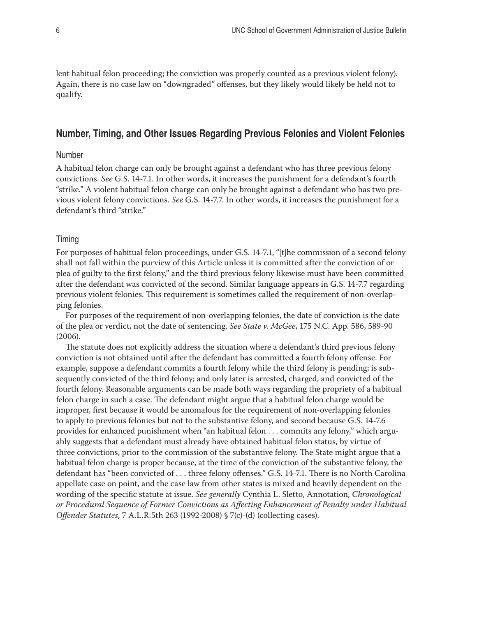lent habitual felon proceeding; the conviction was properly counted as a previous violent felony). Again, there is no case law on "downgraded" offenses, but they likely would likely be held not to qualify.

# **Number, Timing, and Other Issues Regarding Previous Felonies and Violent Felonies**

### Number

A habitual felon charge can only be brought against a defendant who has three previous felony convictions. *See* G.S. 14-7.1. In other words, it increases the punishment for a defendant's fourth "strike." A violent habitual felon charge can only be brought against a defendant who has two previous violent felony convictions. *See* G.S. 14-7.7. In other words, it increases the punishment for a defendant's third "strike."

#### Timing

For purposes of habitual felon proceedings, under G.S. 14-7.1, "[t]he commission of a second felony shall not fall within the purview of this Article unless it is committed after the conviction of or plea of guilty to the first felony," and the third previous felony likewise must have been committed after the defendant was convicted of the second. Similar language appears in G.S. 14-7.7 regarding previous violent felonies. This requirement is sometimes called the requirement of non-overlapping felonies.

For purposes of the requirement of non-overlapping felonies, the date of conviction is the date of the plea or verdict, not the date of sentencing. *See State v. McGee*, 175 N.C. App. 586, 589-90 (2006).

The statute does not explicitly address the situation where a defendant's third previous felony conviction is not obtained until after the defendant has committed a fourth felony offense. For example, suppose a defendant commits a fourth felony while the third felony is pending; is subsequently convicted of the third felony; and only later is arrested, charged, and convicted of the fourth felony. Reasonable arguments can be made both ways regarding the propriety of a habitual felon charge in such a case. The defendant might argue that a habitual felon charge would be improper, first because it would be anomalous for the requirement of non-overlapping felonies to apply to previous felonies but not to the substantive felony, and second because G.S. 14-7.6 provides for enhanced punishment when "an habitual felon . . . commits any felony," which arguably suggests that a defendant must already have obtained habitual felon status, by virtue of three convictions, prior to the commission of the substantive felony. The State might argue that a habitual felon charge is proper because, at the time of the conviction of the substantive felony, the defendant has "been convicted of . . . three felony offenses." G.S. 14-7.1. There is no North Carolina appellate case on point, and the case law from other states is mixed and heavily dependent on the wording of the specific statute at issue. *See generally* Cynthia L. Sletto, Annotation, *Chronological or Procedural Sequence of Former Convictions as Affecting Enhancement of Penalty under Habitual Offender Statutes*, 7 A.L.R.5th 263 (1992-2008) § 7(c)-(d) (collecting cases).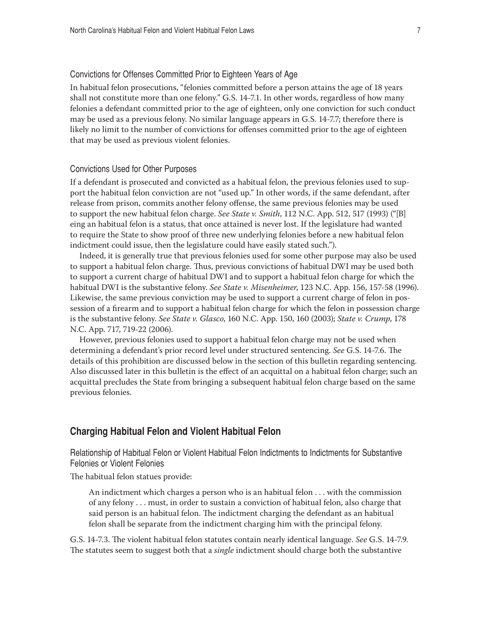#### Convictions for Offenses Committed Prior to Eighteen Years of Age

In habitual felon prosecutions, "felonies committed before a person attains the age of 18 years shall not constitute more than one felony." G.S. 14-7.1. In other words, regardless of how many felonies a defendant committed prior to the age of eighteen, only one conviction for such conduct may be used as a previous felony. No similar language appears in G.S. 14-7.7; therefore there is likely no limit to the number of convictions for offenses committed prior to the age of eighteen that may be used as previous violent felonies.

## Convictions Used for Other Purposes

If a defendant is prosecuted and convicted as a habitual felon, the previous felonies used to support the habitual felon conviction are not "used up." In other words, if the same defendant, after release from prison, commits another felony offense, the same previous felonies may be used to support the new habitual felon charge. *See State v. Smith*, 112 N.C. App. 512, 517 (1993) ("[B] eing an habitual felon is a status, that once attained is never lost. If the legislature had wanted to require the State to show proof of three new underlying felonies before a new habitual felon indictment could issue, then the legislature could have easily stated such.").

Indeed, it is generally true that previous felonies used for some other purpose may also be used to support a habitual felon charge. Thus, previous convictions of habitual DWI may be used both to support a current charge of habitual DWI and to support a habitual felon charge for which the habitual DWI is the substantive felony. *See State v. Misenheimer*, 123 N.C. App. 156, 157-58 (1996). Likewise, the same previous conviction may be used to support a current charge of felon in possession of a firearm and to support a habitual felon charge for which the felon in possession charge is the substantive felony. *See State v. Glasco*, 160 N.C. App. 150, 160 (2003); *State v. Crump*, 178 N.C. App. 717, 719-22 (2006).

However, previous felonies used to support a habitual felon charge may not be used when determining a defendant's prior record level under structured sentencing. *See* G.S. 14-7.6. The details of this prohibition are discussed below in the section of this bulletin regarding sentencing. Also discussed later in this bulletin is the effect of an acquittal on a habitual felon charge; such an acquittal precludes the State from bringing a subsequent habitual felon charge based on the same previous felonies.

## **Charging Habitual Felon and Violent Habitual Felon**

Relationship of Habitual Felon or Violent Habitual Felon Indictments to Indictments for Substantive Felonies or Violent Felonies

The habitual felon statues provide:

An indictment which charges a person who is an habitual felon . . . with the commission of any felony . . . must, in order to sustain a conviction of habitual felon, also charge that said person is an habitual felon. The indictment charging the defendant as an habitual felon shall be separate from the indictment charging him with the principal felony.

G.S. 14-7.3. The violent habitual felon statutes contain nearly identical language. *See* G.S. 14-7.9. The statutes seem to suggest both that a *single* indictment should charge both the substantive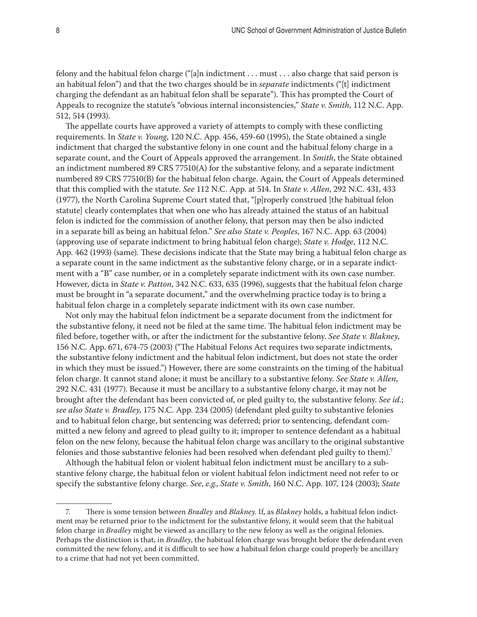felony and the habitual felon charge ("[a]n indictment . . . must . . . also charge that said person is an habitual felon") and that the two charges should be in *separate* indictments ("[t] indictment charging the defendant as an habitual felon shall be separate"). This has prompted the Court of Appeals to recognize the statute's "obvious internal inconsistencies," *State v. Smith*, 112 N.C. App. 512, 514 (1993).

The appellate courts have approved a variety of attempts to comply with these conflicting requirements. In *State v. Young*, 120 N.C. App. 456, 459-60 (1995), the State obtained a single indictment that charged the substantive felony in one count and the habitual felony charge in a separate count, and the Court of Appeals approved the arrangement. In *Smith*, the State obtained an indictment numbered 89 CRS 77510(A) for the substantive felony, and a separate indictment numbered 89 CRS 77510(B) for the habitual felon charge. Again, the Court of Appeals determined that this complied with the statute. *See* 112 N.C. App. at 514. In *State v. Allen*, 292 N.C. 431, 433 (1977), the North Carolina Supreme Court stated that, "[p]roperly construed [the habitual felon statute] clearly contemplates that when one who has already attained the status of an habitual felon is indicted for the commission of another felony, that person may then be also indicted in a separate bill as being an habitual felon." *See also State v. Peoples*, 167 N.C. App. 63 (2004) (approving use of separate indictment to bring habitual felon charge); *State v. Hodge*, 112 N.C. App. 462 (1993) (same). These decisions indicate that the State may bring a habitual felon charge as a separate count in the same indictment as the substantive felony charge, or in a separate indictment with a "B" case number, or in a completely separate indictment with its own case number. However, dicta in *State v. Patton*, 342 N.C. 633, 635 (1996), suggests that the habitual felon charge must be brought in "a separate document," and the overwhelming practice today is to bring a habitual felon charge in a completely separate indictment with its own case number.

Not only may the habitual felon indictment be a separate document from the indictment for the substantive felony, it need not be filed at the same time. The habitual felon indictment may be filed before, together with, or after the indictment for the substantive felony. *See State v. Blakney*, 156 N.C. App. 671, 674-75 (2003) ("The Habitual Felons Act requires two separate indictments, the substantive felony indictment and the habitual felon indictment, but does not state the order in which they must be issued.") However, there are some constraints on the timing of the habitual felon charge. It cannot stand alone; it must be ancillary to a substantive felony. *See State v. Allen*, 292 N.C. 431 (1977). Because it must be ancillary to a substantive felony charge, it may not be brought after the defendant has been convicted of, or pled guilty to, the substantive felony. *See id.*; *see also State v. Bradley*, 175 N.C. App. 234 (2005) (defendant pled guilty to substantive felonies and to habitual felon charge, but sentencing was deferred; prior to sentencing, defendant committed a new felony and agreed to plead guilty to it; improper to sentence defendant as a habitual felon on the new felony, because the habitual felon charge was ancillary to the original substantive felonies and those substantive felonies had been resolved when defendant pled guilty to them).7

Although the habitual felon or violent habitual felon indictment must be ancillary to a substantive felony charge, the habitual felon or violent habitual felon indictment need not refer to or specify the substantive felony charge. *See*, *e.g.*, *State v. Smith*, 160 N.C. App. 107, 124 (2003); *State* 

<sup>7.</sup> There is some tension between *Bradley* and *Blakney*. If, as *Blakney* holds, a habitual felon indictment may be returned prior to the indictment for the substantive felony, it would seem that the habitual felon charge in *Bradley* might be viewed as ancillary to the new felony as well as the original felonies. Perhaps the distinction is that, in *Bradley*, the habitual felon charge was brought before the defendant even committed the new felony, and it is difficult to see how a habitual felon charge could properly be ancillary to a crime that had not yet been committed.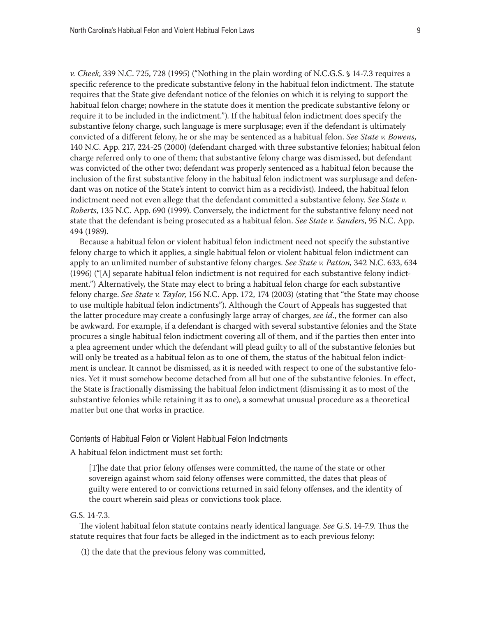*v. Cheek*, 339 N.C. 725, 728 (1995) ("Nothing in the plain wording of N.C.G.S. § 14-7.3 requires a specific reference to the predicate substantive felony in the habitual felon indictment. The statute requires that the State give defendant notice of the felonies on which it is relying to support the habitual felon charge; nowhere in the statute does it mention the predicate substantive felony or require it to be included in the indictment."). If the habitual felon indictment does specify the substantive felony charge, such language is mere surplusage; even if the defendant is ultimately convicted of a different felony, he or she may be sentenced as a habitual felon. *See State v. Bowens*, 140 N.C. App. 217, 224-25 (2000) (defendant charged with three substantive felonies; habitual felon charge referred only to one of them; that substantive felony charge was dismissed, but defendant was convicted of the other two; defendant was properly sentenced as a habitual felon because the inclusion of the first substantive felony in the habitual felon indictment was surplusage and defendant was on notice of the State's intent to convict him as a recidivist). Indeed, the habitual felon indictment need not even allege that the defendant committed a substantive felony. *See State v. Roberts*, 135 N.C. App. 690 (1999). Conversely, the indictment for the substantive felony need not state that the defendant is being prosecuted as a habitual felon. *See State v. Sanders*, 95 N.C. App. 494 (1989).

Because a habitual felon or violent habitual felon indictment need not specify the substantive felony charge to which it applies, a single habitual felon or violent habitual felon indictment can apply to an unlimited number of substantive felony charges. *See State v. Patton,* 342 N.C. 633, 634 (1996) ("[A] separate habitual felon indictment is not required for each substantive felony indictment.") Alternatively, the State may elect to bring a habitual felon charge for each substantive felony charge. *See State v. Taylor*, 156 N.C. App. 172, 174 (2003) (stating that "the State may choose to use multiple habitual felon indictments"). Although the Court of Appeals has suggested that the latter procedure may create a confusingly large array of charges, *see id.*, the former can also be awkward. For example, if a defendant is charged with several substantive felonies and the State procures a single habitual felon indictment covering all of them, and if the parties then enter into a plea agreement under which the defendant will plead guilty to all of the substantive felonies but will only be treated as a habitual felon as to one of them, the status of the habitual felon indictment is unclear. It cannot be dismissed, as it is needed with respect to one of the substantive felonies. Yet it must somehow become detached from all but one of the substantive felonies. In effect, the State is fractionally dismissing the habitual felon indictment (dismissing it as to most of the substantive felonies while retaining it as to one), a somewhat unusual procedure as a theoretical matter but one that works in practice.

#### Contents of Habitual Felon or Violent Habitual Felon Indictments

A habitual felon indictment must set forth:

[T]he date that prior felony offenses were committed, the name of the state or other sovereign against whom said felony offenses were committed, the dates that pleas of guilty were entered to or convictions returned in said felony offenses, and the identity of the court wherein said pleas or convictions took place.

#### G.S. 14-7.3.

The violent habitual felon statute contains nearly identical language. *See* G.S. 14-7.9. Thus the statute requires that four facts be alleged in the indictment as to each previous felony:

(1) the date that the previous felony was committed,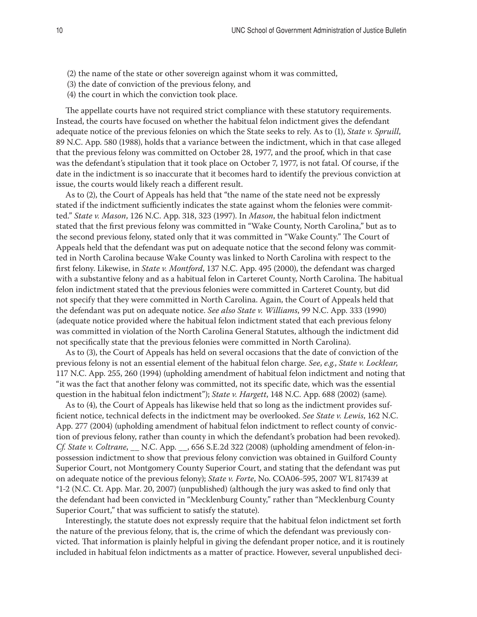- (2) the name of the state or other sovereign against whom it was committed,
- (3) the date of conviction of the previous felony, and
- (4) the court in which the conviction took place.

The appellate courts have not required strict compliance with these statutory requirements. Instead, the courts have focused on whether the habitual felon indictment gives the defendant adequate notice of the previous felonies on which the State seeks to rely. As to (1), *State v. Spruill*, 89 N.C. App. 580 (1988), holds that a variance between the indictment, which in that case alleged that the previous felony was committed on October 28, 1977, and the proof, which in that case was the defendant's stipulation that it took place on October 7, 1977, is not fatal. Of course, if the date in the indictment is so inaccurate that it becomes hard to identify the previous conviction at issue, the courts would likely reach a different result.

As to (2), the Court of Appeals has held that "the name of the state need not be expressly stated if the indictment sufficiently indicates the state against whom the felonies were committed." *State v. Mason*, 126 N.C. App. 318, 323 (1997). In *Mason*, the habitual felon indictment stated that the first previous felony was committed in "Wake County, North Carolina," but as to the second previous felony, stated only that it was committed in "Wake County." The Court of Appeals held that the defendant was put on adequate notice that the second felony was committed in North Carolina because Wake County was linked to North Carolina with respect to the first felony. Likewise, in *State v. Montford*, 137 N.C. App. 495 (2000), the defendant was charged with a substantive felony and as a habitual felon in Carteret County, North Carolina. The habitual felon indictment stated that the previous felonies were committed in Carteret County, but did not specify that they were committed in North Carolina. Again, the Court of Appeals held that the defendant was put on adequate notice. *See also State v. Williams*, 99 N.C. App. 333 (1990) (adequate notice provided where the habitual felon indictment stated that each previous felony was committed in violation of the North Carolina General Statutes, although the indictment did not specifically state that the previous felonies were committed in North Carolina).

As to (3), the Court of Appeals has held on several occasions that the date of conviction of the previous felony is not an essential element of the habitual felon charge. *See*, *e.g.*, *State v. Locklear*, 117 N.C. App. 255, 260 (1994) (upholding amendment of habitual felon indictment and noting that "it was the fact that another felony was committed, not its specific date, which was the essential question in the habitual felon indictment"); *State v. Hargett*, 148 N.C. App. 688 (2002) (same).

As to (4), the Court of Appeals has likewise held that so long as the indictment provides sufficient notice, technical defects in the indictment may be overlooked. *See State v. Lewis*, 162 N.C. App. 277 (2004) (upholding amendment of habitual felon indictment to reflect county of conviction of previous felony, rather than county in which the defendant's probation had been revoked). *Cf. State v. Coltrane*, \_\_ N.C. App. \_\_, 656 S.E.2d 322 (2008) (upholding amendment of felon-inpossession indictment to show that previous felony conviction was obtained in Guilford County Superior Court, not Montgomery County Superior Court, and stating that the defendant was put on adequate notice of the previous felony); *State v. Forte*, No. COA06-595, 2007 WL 817439 at \*1-2 (N.C. Ct. App. Mar. 20, 2007) (unpublished) (although the jury was asked to find only that the defendant had been convicted in "Mecklenburg County," rather than "Mecklenburg County Superior Court," that was sufficient to satisfy the statute).

Interestingly, the statute does not expressly require that the habitual felon indictment set forth the nature of the previous felony, that is, the crime of which the defendant was previously convicted. That information is plainly helpful in giving the defendant proper notice, and it is routinely included in habitual felon indictments as a matter of practice. However, several unpublished deci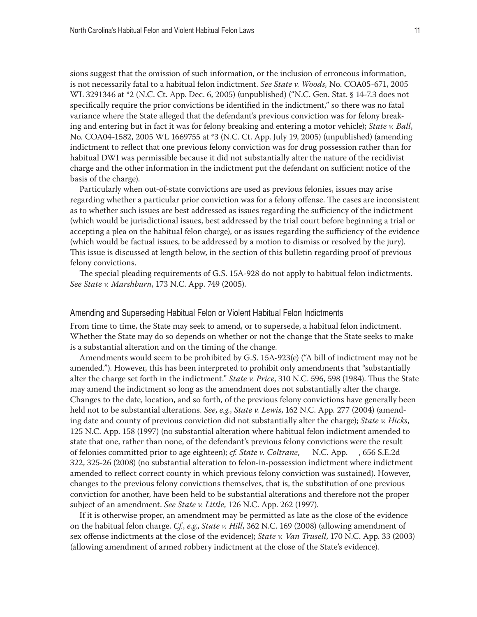sions suggest that the omission of such information, or the inclusion of erroneous information, is not necessarily fatal to a habitual felon indictment. *See State v. Woods,* No. COA05-671, 2005 WL 3291346 at \*2 (N.C. Ct. App. Dec. 6, 2005) (unpublished) ("N.C. Gen. Stat. § 14-7.3 does not specifically require the prior convictions be identified in the indictment," so there was no fatal variance where the State alleged that the defendant's previous conviction was for felony breaking and entering but in fact it was for felony breaking and entering a motor vehicle); *State v. Ball*, No. COA04-1582, 2005 WL 1669755 at \*3 (N.C. Ct. App. July 19, 2005) (unpublished) (amending indictment to reflect that one previous felony conviction was for drug possession rather than for habitual DWI was permissible because it did not substantially alter the nature of the recidivist charge and the other information in the indictment put the defendant on sufficient notice of the basis of the charge).

Particularly when out-of-state convictions are used as previous felonies, issues may arise regarding whether a particular prior conviction was for a felony offense. The cases are inconsistent as to whether such issues are best addressed as issues regarding the sufficiency of the indictment (which would be jurisdictional issues, best addressed by the trial court before beginning a trial or accepting a plea on the habitual felon charge), or as issues regarding the sufficiency of the evidence (which would be factual issues, to be addressed by a motion to dismiss or resolved by the jury). This issue is discussed at length below, in the section of this bulletin regarding proof of previous felony convictions.

The special pleading requirements of G.S. 15A-928 do not apply to habitual felon indictments. *See State v. Marshburn*, 173 N.C. App. 749 (2005).

#### Amending and Superseding Habitual Felon or Violent Habitual Felon Indictments

From time to time, the State may seek to amend, or to supersede, a habitual felon indictment. Whether the State may do so depends on whether or not the change that the State seeks to make is a substantial alteration and on the timing of the change.

Amendments would seem to be prohibited by G.S. 15A-923(e) ("A bill of indictment may not be amended."). However, this has been interpreted to prohibit only amendments that "substantially alter the charge set forth in the indictment." *State v. Price*, 310 N.C. 596, 598 (1984). Thus the State may amend the indictment so long as the amendment does not substantially alter the charge. Changes to the date, location, and so forth, of the previous felony convictions have generally been held not to be substantial alterations. *See*, *e.g.*, *State v. Lewis*, 162 N.C. App. 277 (2004) (amending date and county of previous conviction did not substantially alter the charge); *State v. Hicks*, 125 N.C. App. 158 (1997) (no substantial alteration where habitual felon indictment amended to state that one, rather than none, of the defendant's previous felony convictions were the result of felonies committed prior to age eighteen); *cf. State v. Coltrane*, \_\_ N.C. App. \_\_, 656 S.E.2d 322, 325-26 (2008) (no substantial alteration to felon-in-possession indictment where indictment amended to reflect correct county in which previous felony conviction was sustained). However, changes to the previous felony convictions themselves, that is, the substitution of one previous conviction for another, have been held to be substantial alterations and therefore not the proper subject of an amendment. *See State v. Little*, 126 N.C. App. 262 (1997).

If it is otherwise proper, an amendment may be permitted as late as the close of the evidence on the habitual felon charge. *Cf.*, *e.g.*, *State v. Hill*, 362 N.C. 169 (2008) (allowing amendment of sex offense indictments at the close of the evidence); *State v. Van Trusell*, 170 N.C. App. 33 (2003) (allowing amendment of armed robbery indictment at the close of the State's evidence).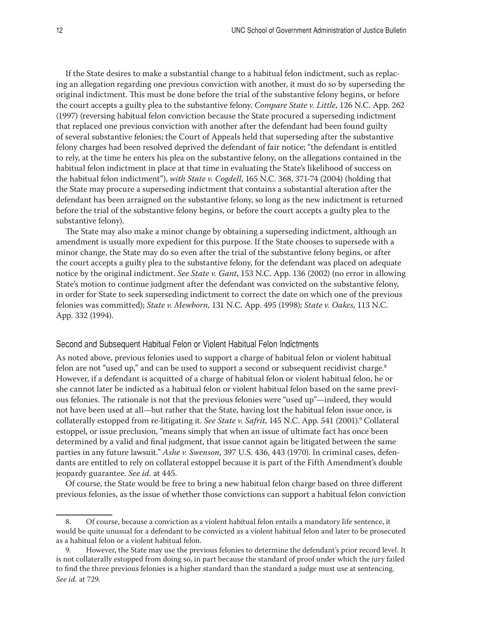If the State desires to make a substantial change to a habitual felon indictment, such as replacing an allegation regarding one previous conviction with another, it must do so by superseding the original indictment. This must be done before the trial of the substantive felony begins, or before the court accepts a guilty plea to the substantive felony. *Compare State v. Little*, 126 N.C. App. 262 (1997) (reversing habitual felon conviction because the State procured a superseding indictment that replaced one previous conviction with another after the defendant had been found guilty of several substantive felonies; the Court of Appeals held that superseding after the substantive felony charges had been resolved deprived the defendant of fair notice; "the defendant is entitled to rely, at the time he enters his plea on the substantive felony, on the allegations contained in the habitual felon indictment in place at that time in evaluating the State's likelihood of success on the habitual felon indictment"), *with State v. Cogdell*, 165 N.C. 368, 371-74 (2004) (holding that the State may procure a superseding indictment that contains a substantial alteration after the defendant has been arraigned on the substantive felony, so long as the new indictment is returned before the trial of the substantive felony begins, or before the court accepts a guilty plea to the substantive felony).

The State may also make a minor change by obtaining a superseding indictment, although an amendment is usually more expedient for this purpose. If the State chooses to supersede with a minor change, the State may do so even after the trial of the substantive felony begins, or after the court accepts a guilty plea to the substantive felony, for the defendant was placed on adequate notice by the original indictment. *See State v. Gant*, 153 N.C. App. 136 (2002) (no error in allowing State's motion to continue judgment after the defendant was convicted on the substantive felony, in order for State to seek superseding indictment to correct the date on which one of the previous felonies was committed); *State v. Mewborn*, 131 N.C. App. 495 (1998); *State v. Oakes*, 113 N.C. App. 332 (1994).

#### Second and Subsequent Habitual Felon or Violent Habitual Felon Indictments

As noted above, previous felonies used to support a charge of habitual felon or violent habitual felon are not "used up," and can be used to support a second or subsequent recidivist charge.<sup>8</sup> However, if a defendant is acquitted of a charge of habitual felon or violent habitual felon, he or she cannot later be indicted as a habitual felon or violent habitual felon based on the same previous felonies. The rationale is not that the previous felonies were "used up"—indeed, they would not have been used at all—but rather that the State, having lost the habitual felon issue once, is collaterally estopped from re-litigating it. *See State v. Safrit*, 145 N.C. App. 541 (2001).9 Collateral estoppel, or issue preclusion, "means simply that when an issue of ultimate fact has once been determined by a valid and final judgment, that issue cannot again be litigated between the same parties in any future lawsuit." *Ashe v. Swenson*, 397 U.S. 436, 443 (1970). In criminal cases, defendants are entitled to rely on collateral estoppel because it is part of the Fifth Amendment's double jeopardy guarantee. *See id.* at 445.

Of course, the State would be free to bring a new habitual felon charge based on three different previous felonies, as the issue of whether those convictions can support a habitual felon conviction

<sup>8.</sup> Of course, because a conviction as a violent habitual felon entails a mandatory life sentence, it would be quite unusual for a defendant to be convicted as a violent habitual felon and later to be prosecuted as a habitual felon or a violent habitual felon.

<sup>9.</sup> However, the State may use the previous felonies to determine the defendant's prior record level. It is not collaterally estopped from doing so, in part because the standard of proof under which the jury failed to find the three previous felonies is a higher standard than the standard a judge must use at sentencing. *See id.* at 729.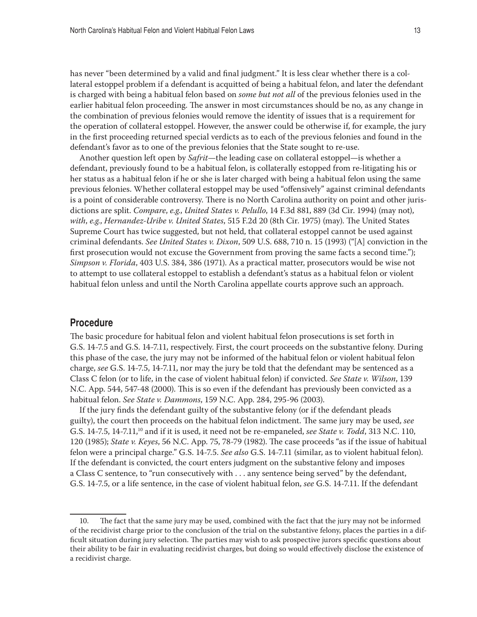has never "been determined by a valid and final judgment." It is less clear whether there is a collateral estoppel problem if a defendant is acquitted of being a habitual felon, and later the defendant is charged with being a habitual felon based on *some but not all* of the previous felonies used in the earlier habitual felon proceeding. The answer in most circumstances should be no, as any change in the combination of previous felonies would remove the identity of issues that is a requirement for the operation of collateral estoppel. However, the answer could be otherwise if, for example, the jury in the first proceeding returned special verdicts as to each of the previous felonies and found in the defendant's favor as to one of the previous felonies that the State sought to re-use.

Another question left open by *Safrit*—the leading case on collateral estoppel—is whether a defendant, previously found to be a habitual felon, is collaterally estopped from re-litigating his or her status as a habitual felon if he or she is later charged with being a habitual felon using the same previous felonies. Whether collateral estoppel may be used "offensively" against criminal defendants is a point of considerable controversy. There is no North Carolina authority on point and other jurisdictions are split. *Compare*, *e.g.*, *United States v. Pelullo*, 14 F.3d 881, 889 (3d Cir. 1994) (may not), *with*, *e.g.*, *Hernandez-Uribe v. United States*, 515 F.2d 20 (8th Cir. 1975) (may). The United States Supreme Court has twice suggested, but not held, that collateral estoppel cannot be used against criminal defendants. *See United States v. Dixon*, 509 U.S. 688, 710 n. 15 (1993) ("[A] conviction in the first prosecution would not excuse the Government from proving the same facts a second time."); *Simpson v. Florida*, 403 U.S. 384, 386 (1971). As a practical matter, prosecutors would be wise not to attempt to use collateral estoppel to establish a defendant's status as a habitual felon or violent habitual felon unless and until the North Carolina appellate courts approve such an approach.

#### **Procedure**

The basic procedure for habitual felon and violent habitual felon prosecutions is set forth in G.S. 14-7.5 and G.S. 14-7.11, respectively. First, the court proceeds on the substantive felony. During this phase of the case, the jury may not be informed of the habitual felon or violent habitual felon charge, *see* G.S. 14-7.5, 14-7.11, nor may the jury be told that the defendant may be sentenced as a Class C felon (or to life, in the case of violent habitual felon) if convicted. *See State v. Wilson*, 139 N.C. App. 544, 547-48 (2000). This is so even if the defendant has previously been convicted as a habitual felon. *See State v. Dammons*, 159 N.C. App. 284, 295-96 (2003).

If the jury finds the defendant guilty of the substantive felony (or if the defendant pleads guilty), the court then proceeds on the habitual felon indictment. The same jury may be used, *see* G.S. 14-7.5, 14-7.11,10 and if it is used, it need not be re-empaneled, *see State v. Todd*, 313 N.C. 110, 120 (1985); *State v. Keyes*, 56 N.C. App. 75, 78-79 (1982). The case proceeds "as if the issue of habitual felon were a principal charge." G.S. 14-7.5. *See also* G.S. 14-7.11 (similar, as to violent habitual felon). If the defendant is convicted, the court enters judgment on the substantive felony and imposes a Class C sentence, to "run consecutively with . . . any sentence being served" by the defendant, G.S. 14-7.5, or a life sentence, in the case of violent habitual felon, *see* G.S. 14-7.11. If the defendant

<sup>10.</sup> The fact that the same jury may be used, combined with the fact that the jury may not be informed of the recidivist charge prior to the conclusion of the trial on the substantive felony, places the parties in a difficult situation during jury selection. The parties may wish to ask prospective jurors specific questions about their ability to be fair in evaluating recidivist charges, but doing so would effectively disclose the existence of a recidivist charge.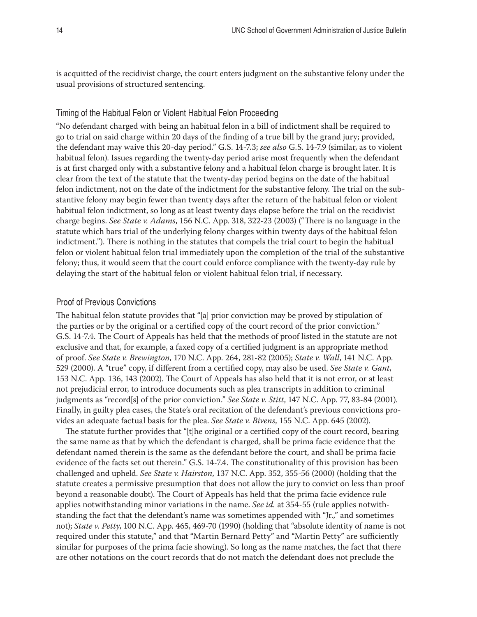is acquitted of the recidivist charge, the court enters judgment on the substantive felony under the usual provisions of structured sentencing.

#### Timing of the Habitual Felon or Violent Habitual Felon Proceeding

"No defendant charged with being an habitual felon in a bill of indictment shall be required to go to trial on said charge within 20 days of the finding of a true bill by the grand jury; provided, the defendant may waive this 20-day period." G.S. 14-7.3; *see also* G.S. 14-7.9 (similar, as to violent habitual felon). Issues regarding the twenty-day period arise most frequently when the defendant is at first charged only with a substantive felony and a habitual felon charge is brought later. It is clear from the text of the statute that the twenty-day period begins on the date of the habitual felon indictment, not on the date of the indictment for the substantive felony. The trial on the substantive felony may begin fewer than twenty days after the return of the habitual felon or violent habitual felon indictment, so long as at least twenty days elapse before the trial on the recidivist charge begins. *See State v. Adams*, 156 N.C. App. 318, 322-23 (2003) ("There is no language in the statute which bars trial of the underlying felony charges within twenty days of the habitual felon indictment."). There is nothing in the statutes that compels the trial court to begin the habitual felon or violent habitual felon trial immediately upon the completion of the trial of the substantive felony; thus, it would seem that the court could enforce compliance with the twenty-day rule by delaying the start of the habitual felon or violent habitual felon trial, if necessary.

#### Proof of Previous Convictions

The habitual felon statute provides that "[a] prior conviction may be proved by stipulation of the parties or by the original or a certified copy of the court record of the prior conviction." G.S. 14-7.4. The Court of Appeals has held that the methods of proof listed in the statute are not exclusive and that, for example, a faxed copy of a certified judgment is an appropriate method of proof. *See State v. Brewington*, 170 N.C. App. 264, 281-82 (2005); *State v. Wall*, 141 N.C. App. 529 (2000). A "true" copy, if different from a certified copy, may also be used. *See State v. Gant*, 153 N.C. App. 136, 143 (2002). The Court of Appeals has also held that it is not error, or at least not prejudicial error, to introduce documents such as plea transcripts in addition to criminal judgments as "record[s] of the prior conviction." *See State v. Stitt*, 147 N.C. App. 77, 83-84 (2001). Finally, in guilty plea cases, the State's oral recitation of the defendant's previous convictions provides an adequate factual basis for the plea. *See State v. Bivens*, 155 N.C. App. 645 (2002).

The statute further provides that "[t]he original or a certified copy of the court record, bearing the same name as that by which the defendant is charged, shall be prima facie evidence that the defendant named therein is the same as the defendant before the court, and shall be prima facie evidence of the facts set out therein." G.S. 14-7.4. The constitutionality of this provision has been challenged and upheld. *See State v. Hairston*, 137 N.C. App. 352, 355-56 (2000) (holding that the statute creates a permissive presumption that does not allow the jury to convict on less than proof beyond a reasonable doubt). The Court of Appeals has held that the prima facie evidence rule applies notwithstanding minor variations in the name. *See id.* at 354-55 (rule applies notwithstanding the fact that the defendant's name was sometimes appended with "Jr.," and sometimes not); *State v. Petty*, 100 N.C. App. 465, 469-70 (1990) (holding that "absolute identity of name is not required under this statute," and that "Martin Bernard Petty" and "Martin Petty" are sufficiently similar for purposes of the prima facie showing). So long as the name matches, the fact that there are other notations on the court records that do not match the defendant does not preclude the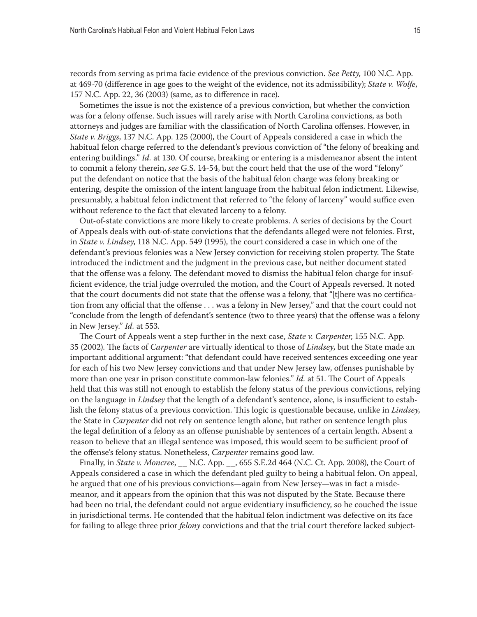records from serving as prima facie evidence of the previous conviction. *See Petty*, 100 N.C. App. at 469-70 (difference in age goes to the weight of the evidence, not its admissibility); *State v. Wolfe*, 157 N.C. App. 22, 36 (2003) (same, as to difference in race).

Sometimes the issue is not the existence of a previous conviction, but whether the conviction was for a felony offense. Such issues will rarely arise with North Carolina convictions, as both attorneys and judges are familiar with the classification of North Carolina offenses. However, in *State v. Briggs*, 137 N.C. App. 125 (2000), the Court of Appeals considered a case in which the habitual felon charge referred to the defendant's previous conviction of "the felony of breaking and entering buildings." *Id.* at 130. Of course, breaking or entering is a misdemeanor absent the intent to commit a felony therein, *see* G.S. 14-54, but the court held that the use of the word "felony" put the defendant on notice that the basis of the habitual felon charge was felony breaking or entering, despite the omission of the intent language from the habitual felon indictment. Likewise, presumably, a habitual felon indictment that referred to "the felony of larceny" would suffice even without reference to the fact that elevated larceny to a felony.

Out-of-state convictions are more likely to create problems. A series of decisions by the Court of Appeals deals with out-of-state convictions that the defendants alleged were not felonies. First, in *State v. Lindsey*, 118 N.C. App. 549 (1995), the court considered a case in which one of the defendant's previous felonies was a New Jersey conviction for receiving stolen property. The State introduced the indictment and the judgment in the previous case, but neither document stated that the offense was a felony. The defendant moved to dismiss the habitual felon charge for insufficient evidence, the trial judge overruled the motion, and the Court of Appeals reversed. It noted that the court documents did not state that the offense was a felony, that "[t]here was no certification from any official that the offense . . . was a felony in New Jersey," and that the court could not "conclude from the length of defendant's sentence (two to three years) that the offense was a felony in New Jersey." *Id.* at 553.

The Court of Appeals went a step further in the next case, *State v. Carpenter*, 155 N.C. App. 35 (2002). The facts of *Carpenter* are virtually identical to those of *Lindsey*, but the State made an important additional argument: "that defendant could have received sentences exceeding one year for each of his two New Jersey convictions and that under New Jersey law, offenses punishable by more than one year in prison constitute common-law felonies." *Id.* at 51. The Court of Appeals held that this was still not enough to establish the felony status of the previous convictions, relying on the language in *Lindsey* that the length of a defendant's sentence, alone, is insufficient to establish the felony status of a previous conviction. This logic is questionable because, unlike in *Lindsey*, the State in *Carpenter* did not rely on sentence length alone, but rather on sentence length plus the legal definition of a felony as an offense punishable by sentences of a certain length. Absent a reason to believe that an illegal sentence was imposed, this would seem to be sufficient proof of the offense's felony status. Nonetheless, *Carpenter* remains good law.

Finally, in *State v. Moncree*, \_\_ N.C. App. \_\_, 655 S.E.2d 464 (N.C. Ct. App. 2008), the Court of Appeals considered a case in which the defendant pled guilty to being a habitual felon. On appeal, he argued that one of his previous convictions—again from New Jersey—was in fact a misdemeanor, and it appears from the opinion that this was not disputed by the State. Because there had been no trial, the defendant could not argue evidentiary insufficiency, so he couched the issue in jurisdictional terms. He contended that the habitual felon indictment was defective on its face for failing to allege three prior *felony* convictions and that the trial court therefore lacked subject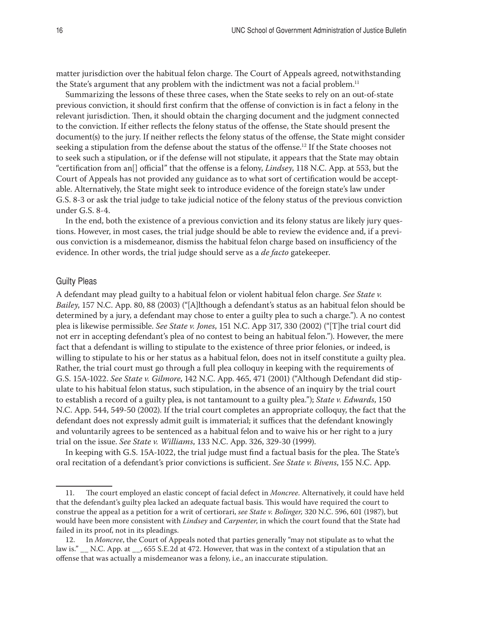matter jurisdiction over the habitual felon charge. The Court of Appeals agreed, notwithstanding the State's argument that any problem with the indictment was not a facial problem.<sup>11</sup>

Summarizing the lessons of these three cases, when the State seeks to rely on an out-of-state previous conviction, it should first confirm that the offense of conviction is in fact a felony in the relevant jurisdiction. Then, it should obtain the charging document and the judgment connected to the conviction. If either reflects the felony status of the offense, the State should present the document(s) to the jury. If neither reflects the felony status of the offense, the State might consider seeking a stipulation from the defense about the status of the offense.<sup>12</sup> If the State chooses not to seek such a stipulation, or if the defense will not stipulate, it appears that the State may obtain "certification from an[] official" that the offense is a felony, *Lindsey*, 118 N.C. App. at 553, but the Court of Appeals has not provided any guidance as to what sort of certification would be acceptable. Alternatively, the State might seek to introduce evidence of the foreign state's law under G.S. 8-3 or ask the trial judge to take judicial notice of the felony status of the previous conviction under G.S. 8-4.

In the end, both the existence of a previous conviction and its felony status are likely jury questions. However, in most cases, the trial judge should be able to review the evidence and, if a previous conviction is a misdemeanor, dismiss the habitual felon charge based on insufficiency of the evidence. In other words, the trial judge should serve as a *de facto* gatekeeper.

#### Guilty Pleas

A defendant may plead guilty to a habitual felon or violent habitual felon charge. *See State v. Bailey*, 157 N.C. App. 80, 88 (2003) ("[A]lthough a defendant's status as an habitual felon should be determined by a jury, a defendant may chose to enter a guilty plea to such a charge."). A no contest plea is likewise permissible. *See State v. Jones*, 151 N.C. App 317, 330 (2002) ("[T]he trial court did not err in accepting defendant's plea of no contest to being an habitual felon."). However, the mere fact that a defendant is willing to stipulate to the existence of three prior felonies, or indeed, is willing to stipulate to his or her status as a habitual felon, does not in itself constitute a guilty plea. Rather, the trial court must go through a full plea colloquy in keeping with the requirements of G.S. 15A-1022. *See State v. Gilmore*, 142 N.C. App. 465, 471 (2001) ("Although Defendant did stipulate to his habitual felon status, such stipulation, in the absence of an inquiry by the trial court to establish a record of a guilty plea, is not tantamount to a guilty plea."); *State v. Edwards*, 150 N.C. App. 544, 549-50 (2002). If the trial court completes an appropriate colloquy, the fact that the defendant does not expressly admit guilt is immaterial; it suffices that the defendant knowingly and voluntarily agrees to be sentenced as a habitual felon and to waive his or her right to a jury trial on the issue. *See State v. Williams*, 133 N.C. App. 326, 329-30 (1999).

In keeping with G.S. 15A-1022, the trial judge must find a factual basis for the plea. The State's oral recitation of a defendant's prior convictions is sufficient. *See State v. Bivens*, 155 N.C. App.

<sup>11.</sup> The court employed an elastic concept of facial defect in *Moncree*. Alternatively, it could have held that the defendant's guilty plea lacked an adequate factual basis. This would have required the court to construe the appeal as a petition for a writ of certiorari, *see State v. Bolinger,* 320 N.C. 596, 601 (1987), but would have been more consistent with *Lindsey* and *Carpenter*, in which the court found that the State had failed in its proof, not in its pleadings.

<sup>12.</sup> In *Moncree*, the Court of Appeals noted that parties generally "may not stipulate as to what the law is." \_\_ N.C. App. at \_\_, 655 S.E.2d at 472. However, that was in the context of a stipulation that an offense that was actually a misdemeanor was a felony, i.e., an inaccurate stipulation.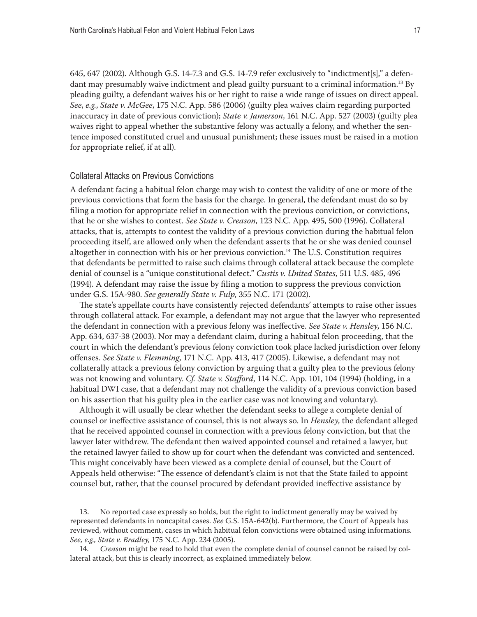645, 647 (2002). Although G.S. 14-7.3 and G.S. 14-7.9 refer exclusively to "indictment[s]," a defendant may presumably waive indictment and plead guilty pursuant to a criminal information.<sup>13</sup> By pleading guilty, a defendant waives his or her right to raise a wide range of issues on direct appeal. *See*, *e.g.*, *State v. McGee*, 175 N.C. App. 586 (2006) (guilty plea waives claim regarding purported inaccuracy in date of previous conviction); *State v. Jamerson*, 161 N.C. App. 527 (2003) (guilty plea waives right to appeal whether the substantive felony was actually a felony, and whether the sentence imposed constituted cruel and unusual punishment; these issues must be raised in a motion for appropriate relief, if at all).

#### Collateral Attacks on Previous Convictions

A defendant facing a habitual felon charge may wish to contest the validity of one or more of the previous convictions that form the basis for the charge. In general, the defendant must do so by filing a motion for appropriate relief in connection with the previous conviction, or convictions, that he or she wishes to contest. *See State v. Creason*, 123 N.C. App. 495, 500 (1996). Collateral attacks, that is, attempts to contest the validity of a previous conviction during the habitual felon proceeding itself, are allowed only when the defendant asserts that he or she was denied counsel altogether in connection with his or her previous conviction.<sup>14</sup> The U.S. Constitution requires that defendants be permitted to raise such claims through collateral attack because the complete denial of counsel is a "unique constitutional defect." *Custis v. United States*, 511 U.S. 485, 496 (1994). A defendant may raise the issue by filing a motion to suppress the previous conviction under G.S. 15A-980. *See generally State v. Fulp*, 355 N.C. 171 (2002).

The state's appellate courts have consistently rejected defendants' attempts to raise other issues through collateral attack. For example, a defendant may not argue that the lawyer who represented the defendant in connection with a previous felony was ineffective. *See State v. Hensley*, 156 N.C. App. 634, 637-38 (2003). Nor may a defendant claim, during a habitual felon proceeding, that the court in which the defendant's previous felony conviction took place lacked jurisdiction over felony offenses. *See State v. Flemming*, 171 N.C. App. 413, 417 (2005). Likewise, a defendant may not collaterally attack a previous felony conviction by arguing that a guilty plea to the previous felony was not knowing and voluntary. *Cf. State v. Stafford*, 114 N.C. App. 101, 104 (1994) (holding, in a habitual DWI case, that a defendant may not challenge the validity of a previous conviction based on his assertion that his guilty plea in the earlier case was not knowing and voluntary).

Although it will usually be clear whether the defendant seeks to allege a complete denial of counsel or ineffective assistance of counsel, this is not always so. In *Hensley*, the defendant alleged that he received appointed counsel in connection with a previous felony conviction, but that the lawyer later withdrew. The defendant then waived appointed counsel and retained a lawyer, but the retained lawyer failed to show up for court when the defendant was convicted and sentenced. This might conceivably have been viewed as a complete denial of counsel, but the Court of Appeals held otherwise: "The essence of defendant's claim is not that the State failed to appoint counsel but, rather, that the counsel procured by defendant provided ineffective assistance by

<sup>13.</sup> No reported case expressly so holds, but the right to indictment generally may be waived by represented defendants in noncapital cases. *See* G.S. 15A-642(b). Furthermore, the Court of Appeals has reviewed, without comment, cases in which habitual felon convictions were obtained using informations. *See, e.g., State v. Bradley,* 175 N.C. App. 234 (2005).

<sup>14.</sup> *Creason* might be read to hold that even the complete denial of counsel cannot be raised by collateral attack, but this is clearly incorrect, as explained immediately below.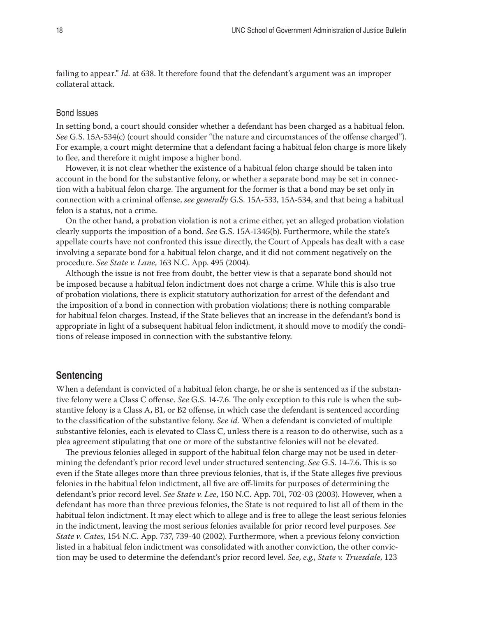failing to appear." *Id.* at 638. It therefore found that the defendant's argument was an improper collateral attack.

#### Bond Issues

In setting bond, a court should consider whether a defendant has been charged as a habitual felon. *See* G.S. 15A-534(c) (court should consider "the nature and circumstances of the offense charged"). For example, a court might determine that a defendant facing a habitual felon charge is more likely to flee, and therefore it might impose a higher bond.

However, it is not clear whether the existence of a habitual felon charge should be taken into account in the bond for the substantive felony, or whether a separate bond may be set in connection with a habitual felon charge. The argument for the former is that a bond may be set only in connection with a criminal offense, *see generally* G.S. 15A-533, 15A-534, and that being a habitual felon is a status, not a crime.

On the other hand, a probation violation is not a crime either, yet an alleged probation violation clearly supports the imposition of a bond. *See* G.S. 15A-1345(b). Furthermore, while the state's appellate courts have not confronted this issue directly, the Court of Appeals has dealt with a case involving a separate bond for a habitual felon charge, and it did not comment negatively on the procedure. *See State v. Lane*, 163 N.C. App. 495 (2004).

Although the issue is not free from doubt, the better view is that a separate bond should not be imposed because a habitual felon indictment does not charge a crime. While this is also true of probation violations, there is explicit statutory authorization for arrest of the defendant and the imposition of a bond in connection with probation violations; there is nothing comparable for habitual felon charges. Instead, if the State believes that an increase in the defendant's bond is appropriate in light of a subsequent habitual felon indictment, it should move to modify the conditions of release imposed in connection with the substantive felony.

## **Sentencing**

When a defendant is convicted of a habitual felon charge, he or she is sentenced as if the substantive felony were a Class C offense. *See* G.S. 14-7.6. The only exception to this rule is when the substantive felony is a Class A, B1, or B2 offense, in which case the defendant is sentenced according to the classification of the substantive felony. *See id.* When a defendant is convicted of multiple substantive felonies, each is elevated to Class C, unless there is a reason to do otherwise, such as a plea agreement stipulating that one or more of the substantive felonies will not be elevated.

The previous felonies alleged in support of the habitual felon charge may not be used in determining the defendant's prior record level under structured sentencing. *See* G.S. 14-7.6. This is so even if the State alleges more than three previous felonies, that is, if the State alleges five previous felonies in the habitual felon indictment, all five are off-limits for purposes of determining the defendant's prior record level. *See State v. Lee*, 150 N.C. App. 701, 702-03 (2003). However, when a defendant has more than three previous felonies, the State is not required to list all of them in the habitual felon indictment. It may elect which to allege and is free to allege the least serious felonies in the indictment, leaving the most serious felonies available for prior record level purposes. *See State v. Cates*, 154 N.C. App. 737, 739-40 (2002). Furthermore, when a previous felony conviction listed in a habitual felon indictment was consolidated with another conviction, the other conviction may be used to determine the defendant's prior record level. *See*, *e.g.*, *State v. Truesdale*, 123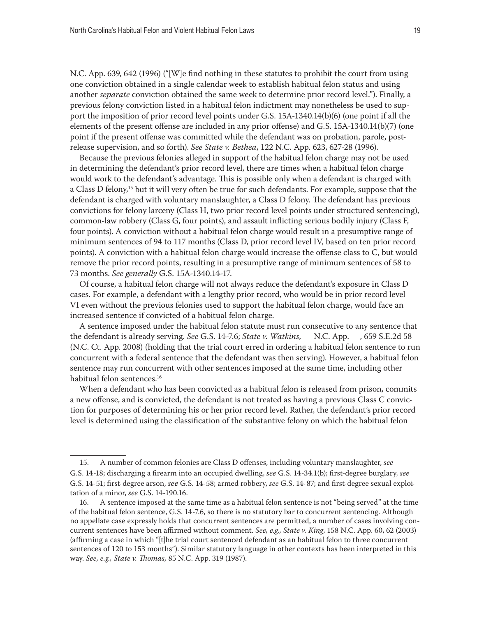N.C. App. 639, 642 (1996) ("[W]e find nothing in these statutes to prohibit the court from using one conviction obtained in a single calendar week to establish habitual felon status and using another *separate* conviction obtained the same week to determine prior record level."). Finally, a previous felony conviction listed in a habitual felon indictment may nonetheless be used to support the imposition of prior record level points under G.S. 15A-1340.14(b)(6) (one point if all the elements of the present offense are included in any prior offense) and G.S. 15A-1340.14(b)(7) (one point if the present offense was committed while the defendant was on probation, parole, postrelease supervision, and so forth). *See State v. Bethea*, 122 N.C. App. 623, 627-28 (1996).

Because the previous felonies alleged in support of the habitual felon charge may not be used in determining the defendant's prior record level, there are times when a habitual felon charge would work to the defendant's advantage. This is possible only when a defendant is charged with a Class D felony,15 but it will very often be true for such defendants. For example, suppose that the defendant is charged with voluntary manslaughter, a Class D felony. The defendant has previous convictions for felony larceny (Class H, two prior record level points under structured sentencing), common-law robbery (Class G, four points), and assault inflicting serious bodily injury (Class F, four points). A conviction without a habitual felon charge would result in a presumptive range of minimum sentences of 94 to 117 months (Class D, prior record level IV, based on ten prior record points). A conviction with a habitual felon charge would increase the offense class to C, but would remove the prior record points, resulting in a presumptive range of minimum sentences of 58 to 73 months. *See generally* G.S. 15A-1340.14-17.

Of course, a habitual felon charge will not always reduce the defendant's exposure in Class D cases. For example, a defendant with a lengthy prior record, who would be in prior record level VI even without the previous felonies used to support the habitual felon charge, would face an increased sentence if convicted of a habitual felon charge.

A sentence imposed under the habitual felon statute must run consecutive to any sentence that the defendant is already serving. *See* G.S. 14-7.6; *State v. Watkins*, \_\_ N.C. App. \_\_, 659 S.E.2d 58 (N.C. Ct. App. 2008) (holding that the trial court erred in ordering a habitual felon sentence to run concurrent with a federal sentence that the defendant was then serving). However, a habitual felon sentence may run concurrent with other sentences imposed at the same time, including other habitual felon sentences.16

When a defendant who has been convicted as a habitual felon is released from prison, commits a new offense, and is convicted, the defendant is not treated as having a previous Class C conviction for purposes of determining his or her prior record level. Rather, the defendant's prior record level is determined using the classification of the substantive felony on which the habitual felon

<sup>15.</sup> A number of common felonies are Class D offenses, including voluntary manslaughter, *see* G.S. 14-18; discharging a firearm into an occupied dwelling, *see* G.S. 14-34.1(b); first-degree burglary, *see* G.S. 14-51; first-degree arson, *see* G.S. 14-58; armed robbery, *see* G.S. 14-87; and first-degree sexual exploitation of a minor, *see* G.S. 14-190.16.

<sup>16.</sup> A sentence imposed at the same time as a habitual felon sentence is not "being served" at the time of the habitual felon sentence, G.S. 14-7.6, so there is no statutory bar to concurrent sentencing. Although no appellate case expressly holds that concurrent sentences are permitted, a number of cases involving concurrent sentences have been affirmed without comment. *See, e.g., State v. King*, 158 N.C. App. 60, 62 (2003) (affirming a case in which "[t]he trial court sentenced defendant as an habitual felon to three concurrent sentences of 120 to 153 months"). Similar statutory language in other contexts has been interpreted in this way. *See, e.g., State v. Thomas,* 85 N.C. App. 319 (1987).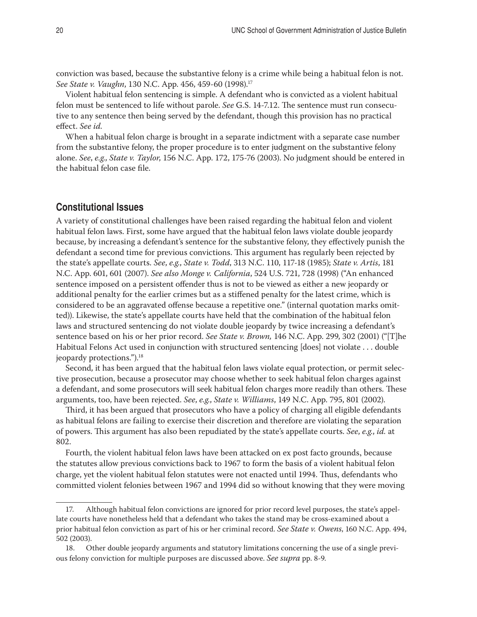conviction was based, because the substantive felony is a crime while being a habitual felon is not. *See State v. Vaughn*, 130 N.C. App. 456, 459-60 (1998).17

Violent habitual felon sentencing is simple. A defendant who is convicted as a violent habitual felon must be sentenced to life without parole. *See* G.S. 14-7.12. The sentence must run consecutive to any sentence then being served by the defendant, though this provision has no practical effect. *See id.*

When a habitual felon charge is brought in a separate indictment with a separate case number from the substantive felony, the proper procedure is to enter judgment on the substantive felony alone. *See*, *e.g.*, *State v. Taylor*, 156 N.C. App. 172, 175-76 (2003). No judgment should be entered in the habitual felon case file.

# **Constitutional Issues**

A variety of constitutional challenges have been raised regarding the habitual felon and violent habitual felon laws. First, some have argued that the habitual felon laws violate double jeopardy because, by increasing a defendant's sentence for the substantive felony, they effectively punish the defendant a second time for previous convictions. This argument has regularly been rejected by the state's appellate courts. *See*, *e.g.*, *State v. Todd*, 313 N.C. 110, 117-18 (1985); *State v. Artis*, 181 N.C. App. 601, 601 (2007). *See also Monge v. California*, 524 U.S. 721, 728 (1998) ("An enhanced sentence imposed on a persistent offender thus is not to be viewed as either a new jeopardy or additional penalty for the earlier crimes but as a stiffened penalty for the latest crime, which is considered to be an aggravated offense because a repetitive one." (internal quotation marks omitted)). Likewise, the state's appellate courts have held that the combination of the habitual felon laws and structured sentencing do not violate double jeopardy by twice increasing a defendant's sentence based on his or her prior record. *See State v. Brown,* 146 N.C. App. 299, 302 (2001) ("[T]he Habitual Felons Act used in conjunction with structured sentencing [does] not violate . . . double jeopardy protections.").18

Second, it has been argued that the habitual felon laws violate equal protection, or permit selective prosecution, because a prosecutor may choose whether to seek habitual felon charges against a defendant, and some prosecutors will seek habitual felon charges more readily than others. These arguments, too, have been rejected. *See*, *e.g.*, *State v. Williams*, 149 N.C. App. 795, 801 (2002).

Third, it has been argued that prosecutors who have a policy of charging all eligible defendants as habitual felons are failing to exercise their discretion and therefore are violating the separation of powers. This argument has also been repudiated by the state's appellate courts. *See*, *e.g.*, *id.* at 802.

Fourth, the violent habitual felon laws have been attacked on ex post facto grounds, because the statutes allow previous convictions back to 1967 to form the basis of a violent habitual felon charge, yet the violent habitual felon statutes were not enacted until 1994. Thus, defendants who committed violent felonies between 1967 and 1994 did so without knowing that they were moving

<sup>17.</sup> Although habitual felon convictions are ignored for prior record level purposes, the state's appellate courts have nonetheless held that a defendant who takes the stand may be cross-examined about a prior habitual felon conviction as part of his or her criminal record. *See State v. Owens*, 160 N.C. App. 494, 502 (2003).

<sup>18.</sup> Other double jeopardy arguments and statutory limitations concerning the use of a single previous felony conviction for multiple purposes are discussed above. *See supra* pp. 8-9.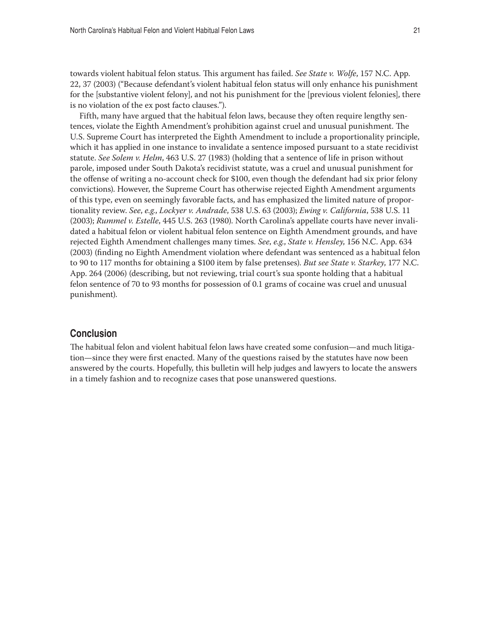towards violent habitual felon status. This argument has failed. *See State v. Wolfe*, 157 N.C. App. 22, 37 (2003) ("Because defendant's violent habitual felon status will only enhance his punishment for the [substantive violent felony], and not his punishment for the [previous violent felonies], there is no violation of the ex post facto clauses.").

Fifth, many have argued that the habitual felon laws, because they often require lengthy sentences, violate the Eighth Amendment's prohibition against cruel and unusual punishment. The U.S. Supreme Court has interpreted the Eighth Amendment to include a proportionality principle, which it has applied in one instance to invalidate a sentence imposed pursuant to a state recidivist statute. *See Solem v. Helm*, 463 U.S. 27 (1983) (holding that a sentence of life in prison without parole, imposed under South Dakota's recidivist statute, was a cruel and unusual punishment for the offense of writing a no-account check for \$100, even though the defendant had six prior felony convictions). However, the Supreme Court has otherwise rejected Eighth Amendment arguments of this type, even on seemingly favorable facts, and has emphasized the limited nature of proportionality review. *See*, *e.g.*, *Lockyer v. Andrade*, 538 U.S. 63 (2003); *Ewing v. California*, 538 U.S. 11 (2003); *Rummel v. Estelle*, 445 U.S. 263 (1980). North Carolina's appellate courts have never invalidated a habitual felon or violent habitual felon sentence on Eighth Amendment grounds, and have rejected Eighth Amendment challenges many times. *See*, *e.g.*, *State v. Hensley*, 156 N.C. App. 634 (2003) (finding no Eighth Amendment violation where defendant was sentenced as a habitual felon to 90 to 117 months for obtaining a \$100 item by false pretenses). *But see State v. Starkey*, 177 N.C. App. 264 (2006) (describing, but not reviewing, trial court's sua sponte holding that a habitual felon sentence of 70 to 93 months for possession of 0.1 grams of cocaine was cruel and unusual punishment).

## **Conclusion**

The habitual felon and violent habitual felon laws have created some confusion—and much litigation—since they were first enacted. Many of the questions raised by the statutes have now been answered by the courts. Hopefully, this bulletin will help judges and lawyers to locate the answers in a timely fashion and to recognize cases that pose unanswered questions.